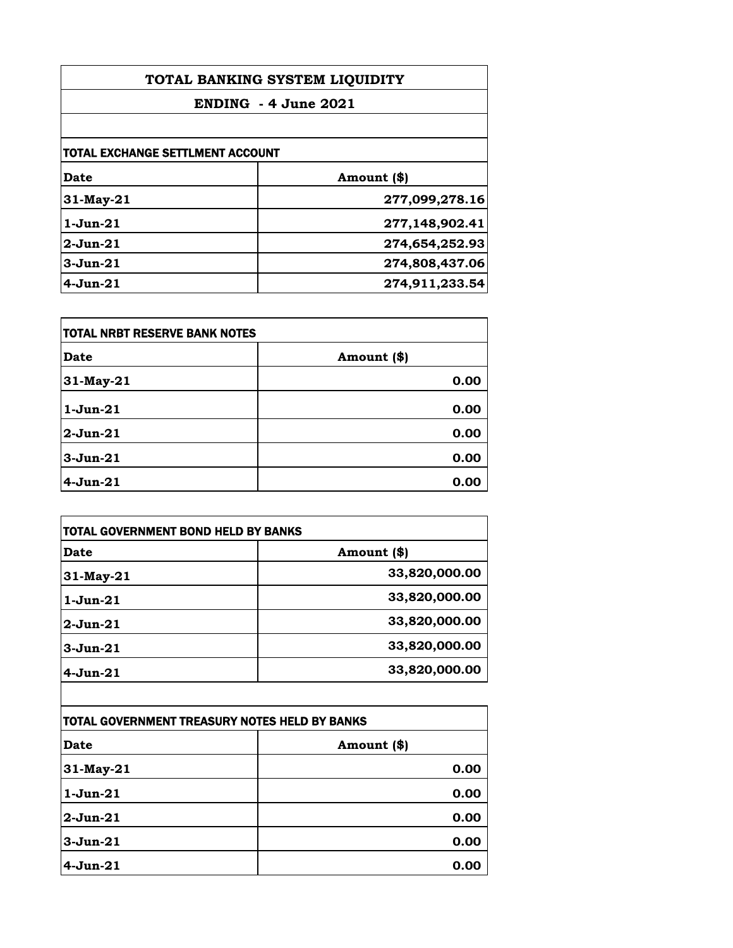| TOTAL BANKING SYSTEM LIQUIDITY<br>$ENDING - 4 June 2021$ |                |
|----------------------------------------------------------|----------------|
|                                                          |                |
| TOTAL EXCHANGE SETTLMENT ACCOUNT                         |                |
| Date                                                     | Amount (\$)    |
| 31-May-21                                                | 277,099,278.16 |
| $1-J$ un $-21$                                           | 277,148,902.41 |
| $2-Jun-21$                                               | 274,654,252.93 |
| $3-Jun-21$                                               | 274,808,437.06 |
| $4-Jun-21$                                               | 274,911,233.54 |

| itotal NRBT RESERVE BANK NOTES |             |
|--------------------------------|-------------|
| <b>Date</b>                    | Amount (\$) |
| 31-May-21                      | 0.00        |
| $1$ -Jun- $21$                 | 0.00        |
| $2-Jun-21$                     | 0.00        |
| $3 - Jun-21$                   | 0.00        |
| $4-Jun-21$                     | 0.00        |

| <b>TOTAL GOVERNMENT BOND HELD BY BANKS</b> |               |
|--------------------------------------------|---------------|
| Date                                       | Amount (\$)   |
| 31-May-21                                  | 33,820,000.00 |
| $1-Jun-21$                                 | 33,820,000.00 |
| $2-Jun-21$                                 | 33,820,000.00 |
| $3-Jun-21$                                 | 33,820,000.00 |
| $4-Jun-21$                                 | 33,820,000.00 |

| TOTAL GOVERNMENT TREASURY NOTES HELD BY BANKS |             |
|-----------------------------------------------|-------------|
| <b>Date</b>                                   | Amount (\$) |
| 31-May-21                                     | 0.00        |
| $1-Jun-21$                                    | 0.00        |
| $2$ -Jun- $21$                                | 0.00        |
| $3 - Jun-21$                                  | 0.00        |
| $4-Jun-21$                                    | 0.00        |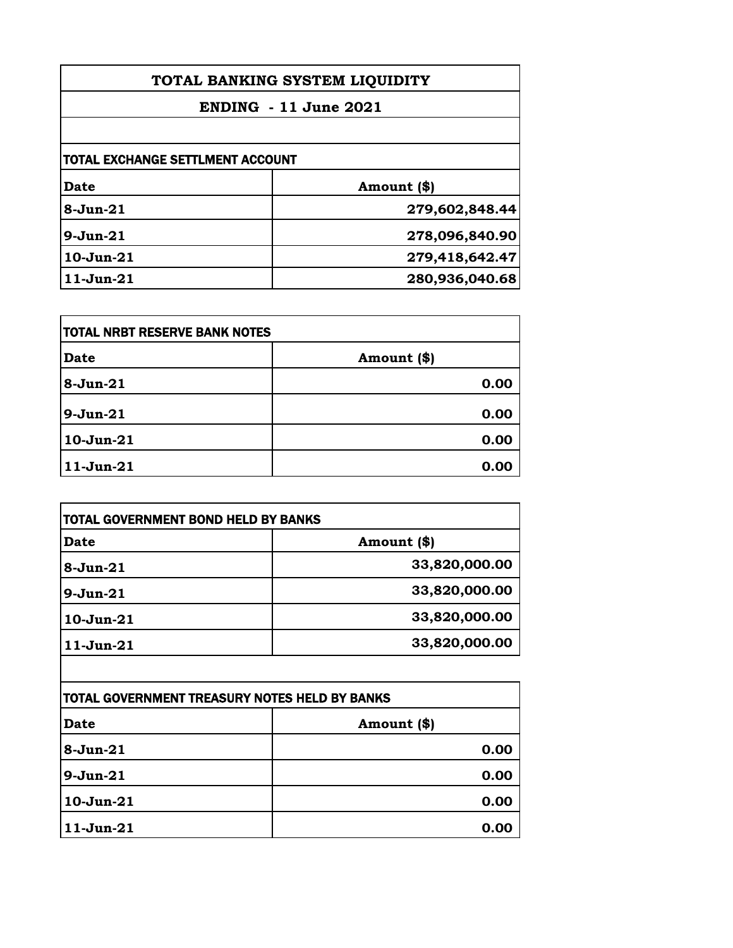| TOTAL BANKING SYSTEM LIQUIDITY   |                |
|----------------------------------|----------------|
| <b>ENDING</b> - 11 June 2021     |                |
|                                  |                |
| TOTAL EXCHANGE SETTLMENT ACCOUNT |                |
| Date                             | Amount (\$)    |
| $8 - Jun-21$                     | 279,602,848.44 |
| 9-Jun-21                         | 278,096,840.90 |
| $10 - Jun-21$                    | 279,418,642.47 |
| $11-Jun-21$                      | 280,936,040.68 |

| <b>TOTAL NRBT RESERVE BANK NOTES</b> |             |
|--------------------------------------|-------------|
| <b>Date</b>                          | Amount (\$) |
| $8-Jun-21$                           | 0.00        |
| $9 - Jun-21$                         | 0.00        |
| $10-Jun-21$                          | 0.00        |
| $11-Jun-21$                          | 0.00        |

| Date         | Amount (\$)   |
|--------------|---------------|
| $8 - Jun-21$ | 33,820,000.00 |
| $9-Jun-21$   | 33,820,000.00 |
| $10-Jun-21$  | 33,820,000.00 |
| $11-Jun-21$  | 33,820,000.00 |

| TOTAL GOVERNMENT TREASURY NOTES HELD BY BANKS |             |
|-----------------------------------------------|-------------|
| <b>Date</b>                                   | Amount (\$) |
| $8-Jun-21$                                    | 0.00        |
| 9-Jun-21                                      | 0.00        |
| $10-Jun-21$                                   | 0.00        |
| $11-Jun-21$                                   | 0.00        |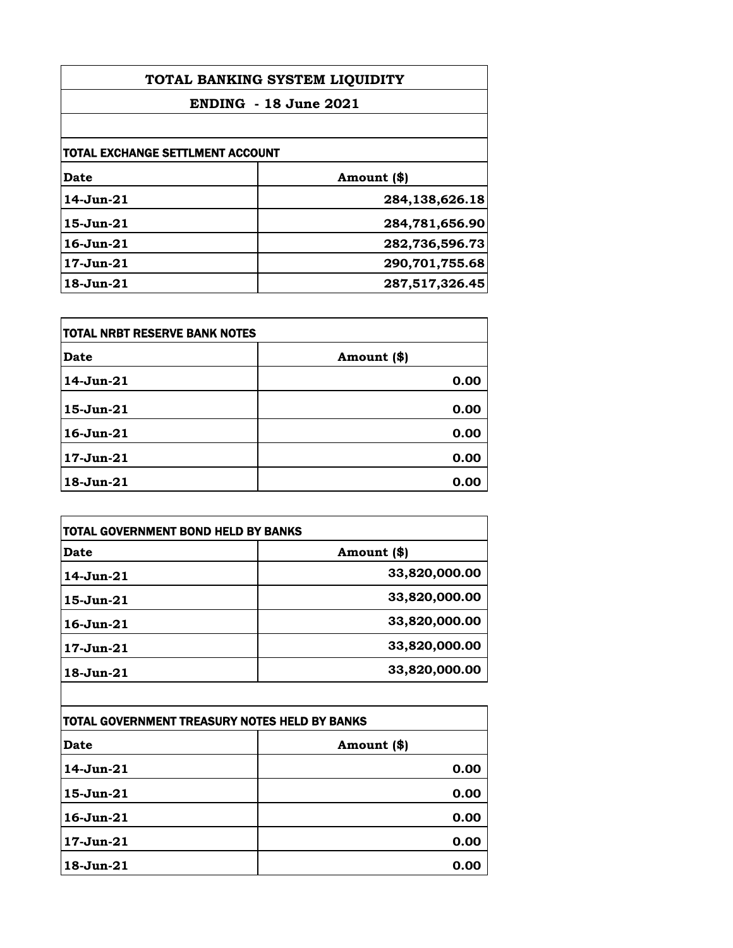| TOTAL BANKING SYSTEM LIQUIDITY<br><b>ENDING - 18 June 2021</b> |                   |
|----------------------------------------------------------------|-------------------|
|                                                                |                   |
| TOTAL EXCHANGE SETTLMENT ACCOUNT                               |                   |
| Date                                                           | Amount (\$)       |
| $14 - Jun - 21$                                                | 284, 138, 626. 18 |
| $15$ -Jun- $21$                                                | 284,781,656.90    |
| $16 - Jun - 21$                                                | 282,736,596.73    |
| $17$ -Jun- $21$                                                | 290,701,755.68    |
| $18$ -Jun- $21$                                                | 287,517,326.45    |

| TOTAL NRBT RESERVE BANK NOTES |             |
|-------------------------------|-------------|
| <b>Date</b>                   | Amount (\$) |
| 14-Jun-21                     | 0.00        |
| 15-Jun-21                     | 0.00        |
| $16$ -Jun- $21$               | 0.00        |
| $17 - Jun-21$                 | 0.00        |
| 18-Jun-21                     | 0.00        |

| <b>TOTAL GOVERNMENT BOND HELD BY BANKS</b> |               |
|--------------------------------------------|---------------|
| Date                                       | Amount (\$)   |
| 14-Jun-21                                  | 33,820,000.00 |
| 15-Jun-21                                  | 33,820,000.00 |
| $16$ -Jun- $21$                            | 33,820,000.00 |
| $17$ -Jun- $21$                            | 33,820,000.00 |
| 18-Jun-21                                  | 33,820,000.00 |

| TOTAL GOVERNMENT TREASURY NOTES HELD BY BANKS |             |
|-----------------------------------------------|-------------|
| <b>Date</b>                                   | Amount (\$) |
| 14-Jun-21                                     | 0.00        |
| 15-Jun-21                                     | 0.00        |
| $16$ -Jun- $21$                               | 0.00        |
| $17-Jun-21$                                   | 0.00        |
| $18 - Jun-21$                                 | 0.00        |